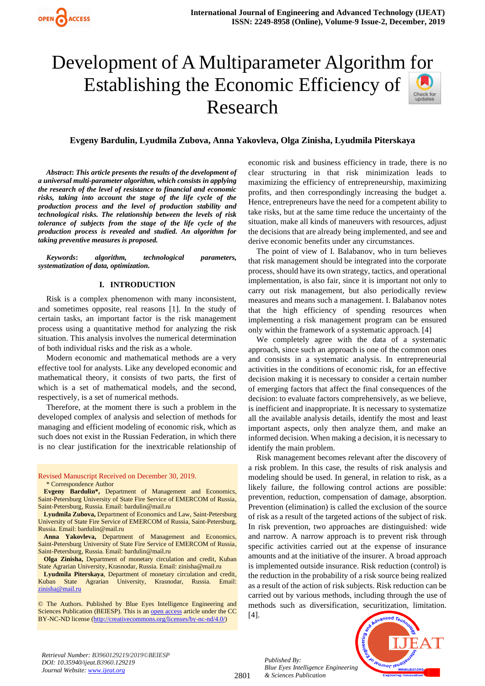# Development of A Multiparameter Algorithm [for](https://crossmark.crossref.org/dialog/?doi=10.35940/ijeat.B3960.129219&domain=www.ijeat.org)  Establishing the Economic Efficiency of Sheck for<br>undates Research

## **Evgeny Bardulin, Lyudmila Zubova, Anna Yakovleva, Olga Zinisha, Lyudmila Piterskaya**

*Abstract***:** *This article presents the results of the development of a universal multi-parameter algorithm, which consists in applying the research of the level of resistance to financial and economic risks, taking into account the stage of the life cycle of the production process and the level of production stability and technological risks. The relationship between the levels of risk tolerance of subjects from the stage of the life cycle of the production process is revealed and studied. An algorithm for taking preventive measures is proposed.*

*Keywords***:** *algorithm, technological parameters, systematization of data, optimization.*

#### **I. INTRODUCTION**

Risk is a complex phenomenon with many inconsistent, and sometimes opposite, real reasons [1]. In the study of certain tasks, an important factor is the risk management process using a quantitative method for analyzing the risk situation. This analysis involves the numerical determination of both individual risks and the risk as a whole.

Modern economic and mathematical methods are a very effective tool for analysts. Like any developed economic and mathematical theory, it consists of two parts, the first of which is a set of mathematical models, and the second, respectively, is a set of numerical methods.

Therefore, at the moment there is such a problem in the developed complex of analysis and selection of methods for managing and efficient modeling of economic risk, which as such does not exist in the Russian Federation, in which there is no clear justification for the inextricable relationship of

Revised Manuscript Received on December 30, 2019. \* Correspondence Author

**Evgeny Bardulin\*,** Department of Management and Economics, Saint-Petersburg University of State Fire Service of EMERCOM of Russia, Saint-Petersburg, Russia. Email: bardulin@mail.ru

**Lyudmila Zubova,** Department of Economics and Law, Saint-Petersburg University of State Fire Service of EMERCOM of Russia, Saint-Petersburg, Russia. Email: bardulin@mail.ru

**Anna Yakovleva,** Department of Management and Economics, Saint-Petersburg University of State Fire Service of EMERCOM of Russia, Saint-Petersburg, Russia. Email: bardulin@mail.ru

**Olga Zinisha,** Department of monetary circulation and credit, Kuban State Agrarian University, Krasnodar, Russia. Email: zinisha@mail.ru

**Lyudmila Piterskaya**, Department of monetary circulation and credit, Kuban State Agrarian University, Krasnodar, Russia. Email: [zinisha@mail.ru](mailto:zinisha@mail.ru)

© The Authors. Published by Blue Eyes Intelligence Engineering and Sciences Publication (BEIESP). This is a[n open access](https://www.openaccess.nl/en/open-publications) article under the CC BY-NC-ND license [\(http://creativecommons.org/licenses/by-nc-nd/4.0/\)](http://creativecommons.org/licenses/by-nc-nd/4.0/)

economic risk and business efficiency in trade, there is no clear structuring in that risk minimization leads to maximizing the efficiency of entrepreneurship, maximizing profits, and then correspondingly increasing the budget a. Hence, entrepreneurs have the need for a competent ability to take risks, but at the same time reduce the uncertainty of the situation, make all kinds of maneuvers with resources, adjust the decisions that are already being implemented, and see and derive economic benefits under any circumstances.

The point of view of I. Balabanov, who in turn believes that risk management should be integrated into the corporate process, should have its own strategy, tactics, and operational implementation, is also fair, since it is important not only to carry out risk management, but also periodically review measures and means such a management. I. Balabanov notes that the high efficiency of spending resources when implementing a risk management program can be ensured only within the framework of a systematic approach. [4]

We completely agree with the data of a systematic approach, since such an approach is one of the common ones and consists in a systematic analysis. In entrepreneurial activities in the conditions of economic risk, for an effective decision making it is necessary to consider a certain number of emerging factors that affect the final consequences of the decision: to evaluate factors comprehensively, as we believe, is inefficient and inappropriate. It is necessary to systematize all the available analysis details, identify the most and least important aspects, only then analyze them, and make an informed decision. When making a decision, it is necessary to identify the main problem.

Risk management becomes relevant after the discovery of a risk problem. In this case, the results of risk analysis and modeling should be used. In general, in relation to risk, as a likely failure, the following control actions are possible: prevention, reduction, compensation of damage, absorption. Prevention (elimination) is called the exclusion of the source of risk as a result of the targeted actions of the subject of risk. In risk prevention, two approaches are distinguished: wide and narrow. A narrow approach is to prevent risk through specific activities carried out at the expense of insurance amounts and at the initiative of the insurer. A broad approach is implemented outside insurance. Risk reduction (control) is the reduction in the probability of a risk source being realized as a result of the action of risk subjects. Risk reduction can be carried out by various methods, including through the use of methods such as diversification, securitization, limitation.

[4].

*Published By:*

*& Sciences Publication* 



*Retrieval Number: B3960129219/2019©BEIESP DOI: 10.35940/ijeat.B3960.129219 Journal Website[: www.ijeat.org](http://www.ijeat.org/)*

2801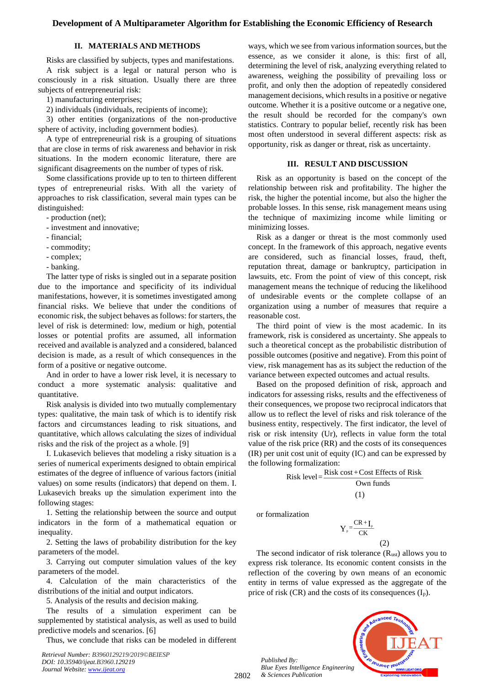### **II. MATERIALS AND METHODS**

Risks are classified by subjects, types and manifestations.

A risk subject is a legal or natural person who is consciously in a risk situation. Usually there are three subjects of entrepreneurial risk:

1) manufacturing enterprises;

2) individuals (individuals, recipients of income);

3) other entities (organizations of the non-productive sphere of activity, including government bodies).

A type of entrepreneurial risk is a grouping of situations that are close in terms of risk awareness and behavior in risk situations. In the modern economic literature, there are significant disagreements on the number of types of risk.

Some classifications provide up to ten to thirteen different types of entrepreneurial risks. With all the variety of approaches to risk classification, several main types can be distinguished:

- production (net);
- investment and innovative;
- financial;
- commodity;
- complex;
- banking.

The latter type of risks is singled out in a separate position due to the importance and specificity of its individual manifestations, however, it is sometimes investigated among financial risks. We believe that under the conditions of economic risk, the subject behaves as follows: for starters, the level of risk is determined: low, medium or high, potential losses or potential profits are assumed, all information received and available is analyzed and a considered, balanced decision is made, as a result of which consequences in the form of a positive or negative outcome.

And in order to have a lower risk level, it is necessary to conduct a more systematic analysis: qualitative and quantitative.

Risk analysis is divided into two mutually complementary types: qualitative, the main task of which is to identify risk factors and circumstances leading to risk situations, and quantitative, which allows calculating the sizes of individual risks and the risk of the project as a whole. [9]

I. Lukasevich believes that modeling a risky situation is a series of numerical experiments designed to obtain empirical estimates of the degree of influence of various factors (initial values) on some results (indicators) that depend on them. I. Lukasevich breaks up the simulation experiment into the following stages:

1. Setting the relationship between the source and output indicators in the form of a mathematical equation or inequality.

2. Setting the laws of probability distribution for the key parameters of the model.

3. Carrying out computer simulation values of the key parameters of the model.

4. Calculation of the main characteristics of the distributions of the initial and output indicators.

5. Analysis of the results and decision making.

The results of a simulation experiment can be supplemented by statistical analysis, as well as used to build predictive models and scenarios. [6]

Thus, we conclude that risks can be modeled in different

*Retrieval Number: B3960129219/2019©BEIESP DOI: 10.35940/ijeat.B3960.129219 Journal Website[: www.ijeat.org](http://www.ijeat.org/)*

ways, which we see from various information sources, but the essence, as we consider it alone, is this: first of all, determining the level of risk, analyzing everything related to awareness, weighing the possibility of prevailing loss or profit, and only then the adoption of repeatedly considered management decisions, which results in a positive or negative outcome. Whether it is a positive outcome or a negative one, the result should be recorded for the company's own statistics. Contrary to popular belief, recently risk has been most often understood in several different aspects: risk as opportunity, risk as danger or threat, risk as uncertainty.

#### **III. RESULT AND DISCUSSION**

Risk as an opportunity is based on the concept of the relationship between risk and profitability. The higher the risk, the higher the potential income, but also the higher the probable losses. In this sense, risk management means using the technique of maximizing income while limiting or minimizing losses.

Risk as a danger or threat is the most commonly used concept. In the framework of this approach, negative events are considered, such as financial losses, fraud, theft, reputation threat, damage or bankruptcy, participation in lawsuits, etc. From the point of view of this concept, risk management means the technique of reducing the likelihood of undesirable events or the complete collapse of an organization using a number of measures that require a reasonable cost.

The third point of view is the most academic. In its framework, risk is considered as uncertainty. She appeals to such a theoretical concept as the probabilistic distribution of possible outcomes (positive and negative). From this point of view, risk management has as its subject the reduction of the variance between expected outcomes and actual results.

Based on the proposed definition of risk, approach and indicators for assessing risks, results and the effectiveness of their consequences, we propose two reciprocal indicators that allow us to reflect the level of risks and risk tolerance of the business entity, respectively. The first indicator, the level of risk or risk intensity (Ur), reflects in value form the total value of the risk price (RR) and the costs of its consequences (IR) per unit cost unit of equity (IC) and can be expressed by the following formalization:

Risk level = 
$$
\frac{\text{Risk cost} + \text{Cost Effects of Risk}}{\text{Own funds}}
$$

$$
(1)
$$

or formalization

 $\frac{1}{p} = \frac{1}{CV}$  $Y_{p} = \frac{CR + I_{p}}{CK}$ (2)

The second indicator of risk tolerance  $(R_{ust})$  allows you to express risk tolerance. Its economic content consists in the reflection of the covering by own means of an economic entity in terms of value expressed as the aggregate of the price of risk  $(CR)$  and the costs of its consequences  $(I_p)$ .

*Published By: Blue Eyes Intelligence Engineering & Sciences Publication* 

2802

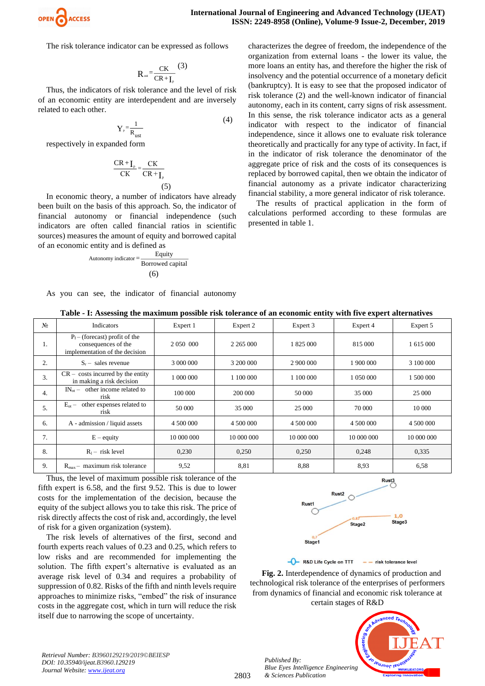

The risk tolerance indicator can be expressed as follows

$$
R_{\text{ust}} = \frac{CK}{CR + I_{\text{p}}}(3)
$$

Thus, the indicators of risk tolerance and the level of risk of an economic entity are interdependent and are inversely related to each other.

$$
Y_{\rm p} = \frac{1}{R_{\rm ust}}\tag{4}
$$

respectively in expanded form

$$
\frac{CR + I_{P}}{CK} = \frac{CK}{CR + I_{P}}
$$
\n(5)

In economic theory, a number of indicators have already been built on the basis of this approach. So, the indicator of financial autonomy or financial independence (such indicators are often called financial ratios in scientific sources) measures the amount of equity and borrowed capital of an economic entity and is defined as

$$
Automomy indicator = \frac{Equity}{Borrowed capital}
$$

$$
(6)
$$

characterizes the degree of freedom, the independence of the organization from external loans - the lower its value, the more loans an entity has, and therefore the higher the risk of insolvency and the potential occurrence of a monetary deficit (bankruptcy). It is easy to see that the proposed indicator of risk tolerance (2) and the well-known indicator of financial autonomy, each in its content, carry signs of risk assessment. In this sense, the risk tolerance indicator acts as a general indicator with respect to the indicator of financial independence, since it allows one to evaluate risk tolerance theoretically and practically for any type of activity. In fact, if in the indicator of risk tolerance the denominator of the aggregate price of risk and the costs of its consequences is replaced by borrowed capital, then we obtain the indicator of financial autonomy as a private indicator characterizing financial stability, a more general indicator of risk tolerance.

The results of practical application in the form of calculations performed according to these formulas are presented in table 1.

|  |  |  |  |  |  |  |  | As you can see, the indicator of financial autonomy |
|--|--|--|--|--|--|--|--|-----------------------------------------------------|
|--|--|--|--|--|--|--|--|-----------------------------------------------------|

**Table - I: Assessing the maximum possible risk tolerance of an economic entity with five expert alternatives**

| N <sub>0</sub>   | Indicators                                                                                | Expert 1     | Expert 2      | Expert 3   | Expert 4   | Expert 5   |
|------------------|-------------------------------------------------------------------------------------------|--------------|---------------|------------|------------|------------|
| 1.               | $P_f$ – (forecast) profit of the<br>consequences of the<br>implementation of the decision | 2 0 50 0 000 | 2 2 6 5 0 0 0 | 1 825 000  | 815 000    | 1 615 000  |
| 2.               | $Sr$ – sales revenue                                                                      | 3 000 000    | 3 200 000     | 2 900 000  | 1 900 000  | 3 100 000  |
| 3.               | $CR - \text{costs incurred by the entity}$<br>in making a risk decision                   | 1 000 000    | 1 100 000     | 1 100 000  | 1 050 000  | 1 500 000  |
| $\overline{4}$ . | $IN_{\alpha}$ – other income related to<br>risk                                           | 100 000      | 200 000       | 50 000     | 35 000     | 25 000     |
| 5.               | $E_{ot}$ – other expenses related to<br>risk                                              | 50 000       | 35 000        | 25 000     | 70 000     | 10 000     |
| 6.               | A - admission / liquid assets                                                             | 4 500 000    | 4 500 000     | 4 500 000  | 4 500 000  | 4 500 000  |
| 7.               | $E -$ equity                                                                              | 10 000 000   | 10 000 000    | 10 000 000 | 10 000 000 | 10 000 000 |
| 8.               | $R_1$ – risk level                                                                        | 0,230        | 0,250         | 0,250      | 0,248      | 0.335      |
| 9.               | $R_{max}$ – maximum risk tolerance                                                        | 9,52         | 8,81          | 8.88       | 8.93       | 6.58       |

Thus, the level of maximum possible risk tolerance of the fifth expert is 6.58, and the first 9.52. This is due to lower costs for the implementation of the decision, because the equity of the subject allows you to take this risk. The price of risk directly affects the cost of risk and, accordingly, the level of risk for a given organization (system).

The risk levels of alternatives of the first, second and fourth experts reach values of 0.23 and 0.25, which refers to low risks and are recommended for implementing the solution. The fifth expert's alternative is evaluated as an average risk level of 0.34 and requires a probability of suppression of 0.82. Risks of the fifth and ninth levels require approaches to minimize risks, "embed" the risk of insurance costs in the aggregate cost, which in turn will reduce the risk itself due to narrowing the scope of uncertainty.



- R&D Life Cycle on TTT - - risk tolerance level

**Fig. 2.** Interdependence of dynamics of production and technological risk tolerance of the enterprises of performers from dynamics of financial and economic risk tolerance at certain stages of R&D

*Published By: Blue Eyes Intelligence Engineering & Sciences Publication* 



*Retrieval Number: B3960129219/2019©BEIESP DOI: 10.35940/ijeat.B3960.129219 Journal Website[: www.ijeat.org](http://www.ijeat.org/)*

2803